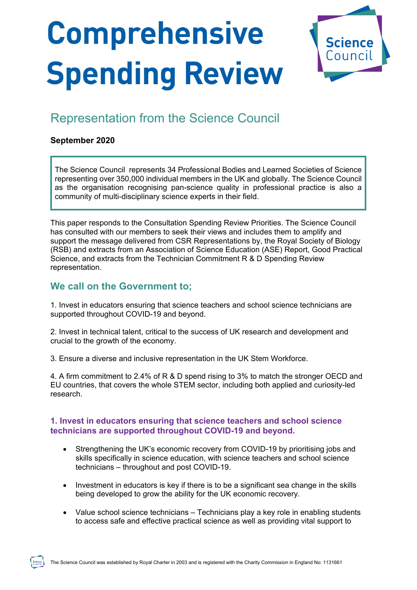# **Comprehensive Spending Review**



# Representation from the Science Council

# **September 2020**

The Science Council represents 34 Professional Bodies and Learned Societies of Science representing over 350,000 individual members in the UK and globally. The Science Council as the organisation recognising pan-science quality in professional practice is also a community of multi-disciplinary science experts in their field.

This paper responds to the Consultation Spending Review Priorities. The Science Council has consulted with our members to seek their views and includes them to amplify and support the message delivered from CSR Representations by, the Royal Society of Biology (RSB) and extracts from an Association of Science Education (ASE) Report, Good Practical Science, and extracts from the Technician Commitment R & D Spending Review representation.

# **We call on the Government to;**

1. Invest in educators ensuring that science teachers and school science technicians are supported throughout COVID-19 and beyond.

2. Invest in technical talent, critical to the success of UK research and development and crucial to the growth of the economy.

3. Ensure a diverse and inclusive representation in the UK Stem Workforce.

4. A firm commitment to 2.4% of R & D spend rising to 3% to match the stronger OECD and EU countries, that covers the whole STEM sector, including both applied and curiosity-led research.

# **1. Invest in educators ensuring that science teachers and school science technicians are supported throughout COVID-19 and beyond.**

- Strengthening the UK's economic recovery from COVID-19 by prioritising jobs and skills specifically in science education, with science teachers and school science technicians – throughout and post COVID-19.
- Investment in educators is key if there is to be a significant sea change in the skills being developed to grow the ability for the UK economic recovery.
- Value school science technicians Technicians play a key role in enabling students to access safe and effective practical science as well as providing vital support to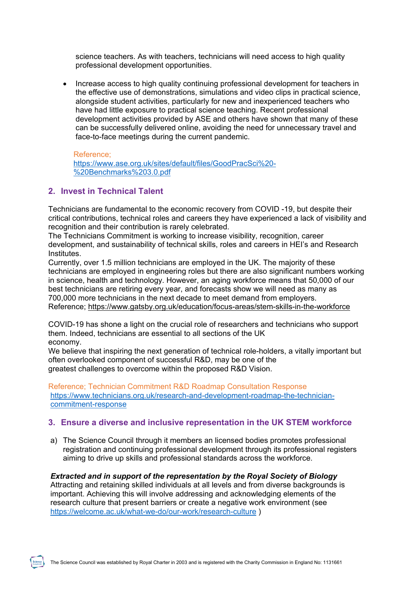science teachers. As with teachers, technicians will need access to high quality professional development opportunities.

• Increase access to high quality continuing professional development for teachers in the effective use of demonstrations, simulations and video clips in practical science, alongside student activities, particularly for new and inexperienced teachers who have had little exposure to practical science teaching. Recent professional development activities provided by ASE and others have shown that many of these can be successfully delivered online, avoiding the need for unnecessary travel and face-to-face meetings during the current pandemic.

#### Reference;

[https://www.ase.org.uk/sites/default/files/GoodPracSci%20-](https://www.ase.org.uk/sites/default/files/GoodPracSci%20-%20Benchmarks%203.0.pdf) [%20Benchmarks%203.0.pdf](https://www.ase.org.uk/sites/default/files/GoodPracSci%20-%20Benchmarks%203.0.pdf)

#### **2. Invest in Technical Talent**

Technicians are fundamental to the economic recovery from COVID -19, but despite their critical contributions, technical roles and careers they have experienced a lack of visibility and recognition and their contribution is rarely celebrated.

The Technicians Commitment is working to increase visibility, recognition, career development, and sustainability of technical skills, roles and careers in HEI's and Research **Institutes** 

Currently, over 1.5 million technicians are employed in the UK. The majority of these technicians are employed in engineering roles but there are also significant numbers working in science, health and technology. However, an aging workforce means that 50,000 of our best technicians are retiring every year, and forecasts show we will need as many as 700,000 more technicians in the next decade to meet demand from employers. Reference;<https://www.gatsby.org.uk/education/focus-areas/stem-skills-in-the-workforce>

COVID-19 has shone a light on the crucial role of researchers and technicians who support them. Indeed, technicians are essential to all sections of the UK economy.

We believe that inspiring the next generation of technical role-holders, a vitally important but often overlooked component of successful R&D, may be one of the greatest challenges to overcome within the proposed R&D Vision.

Reference; Technician Commitment R&D Roadmap Consultation Response [https://www.technicians.org.uk/research-and-development-roadmap-the-technician](https://www.technicians.org.uk/research-and-development-roadmap-the-technician-commitment-response)[commitment-response](https://www.technicians.org.uk/research-and-development-roadmap-the-technician-commitment-response)

#### **3. Ensure a diverse and inclusive representation in the UK STEM workforce**

a) The Science Council through it members an licensed bodies promotes professional registration and continuing professional development through its professional registers aiming to drive up skills and professional standards across the workforce.

#### *Extracted and in support of the representation by the Royal Society of Biology*

Attracting and retaining skilled individuals at all levels and from diverse backgrounds is important. Achieving this will involve addressing and acknowledging elements of the research culture that present barriers or create a negative work environment (see <https://welcome.ac.uk/what-we-do/our-work/research-culture> )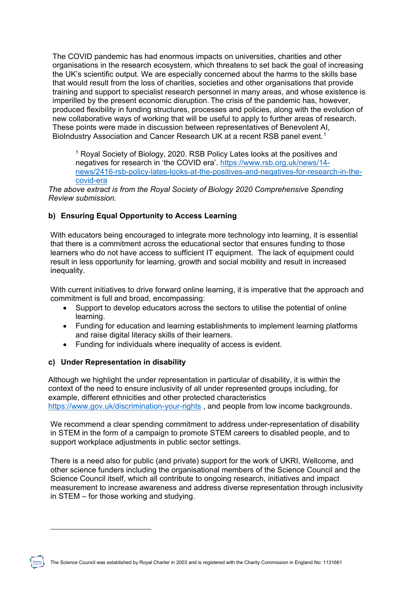The COVID pandemic has had enormous impacts on universities, charities and other organisations in the research ecosystem, which threatens to set back the goal of increasing the UK's scientific output. We are especially concerned about the harms to the skills base that would result from the loss of charities, societies and other organisations that provide training and support to specialist research personnel in many areas, and whose existence is imperilled by the present economic disruption. The crisis of the pandemic has, however, produced flexibility in funding structures, processes and policies, along with the evolution of new collaborative ways of working that will be useful to apply to further areas of research. These points were made in discussion between representatives of Benevolent AI, BioIndustry Association and Cancer Research UK at a recent RSB panel event.<sup>[1](#page-2-0)</sup>

<sup>1</sup> Royal Society of Biology, 2020. RSB Policy Lates looks at the positives and negatives for research in 'the COVID era'. [https://www.rsb.org.uk/news/14](https://www.rsb.org.uk/news/14-news/2416-rsb-policy-lates-looks-at-the-positives-and-negatives-for-research-in-the-covid-era) [news/2416-rsb-policy-lates-looks-at-the-positives-and-negatives-for-research-in-the](https://www.rsb.org.uk/news/14-news/2416-rsb-policy-lates-looks-at-the-positives-and-negatives-for-research-in-the-covid-era)[covid-era](https://www.rsb.org.uk/news/14-news/2416-rsb-policy-lates-looks-at-the-positives-and-negatives-for-research-in-the-covid-era)

*The above extract is from the Royal Society of Biology 2020 Comprehensive Spending Review submission.*

# **b) Ensuring Equal Opportunity to Access Learning**

With educators being encouraged to integrate more technology into learning, it is essential that there is a commitment across the educational sector that ensures funding to those learners who do not have access to sufficient IT equipment. The lack of equipment could result in less opportunity for learning, growth and social mobility and result in increased inequality.

With current initiatives to drive forward online learning, it is imperative that the approach and commitment is full and broad, encompassing:

- Support to develop educators across the sectors to utilise the potential of online learning.
- Funding for education and learning establishments to implement learning platforms and raise digital literacy skills of their learners.
- Funding for individuals where inequality of access is evident.

# **c) Under Representation in disability**

<span id="page-2-0"></span> $\overline{a}$ 

Although we highlight the under representation in particular of disability, it is within the context of the need to ensure inclusivity of all under represented groups including, for example, different ethnicities and other protected characteristics <https://www.gov.uk/discrimination-your-rights> , and people from low income backgrounds.

We recommend a clear spending commitment to address under-representation of disability in STEM in the form of a campaign to promote STEM careers to disabled people, and to support workplace adjustments in public sector settings.

There is a need also for public (and private) support for the work of UKRI, Wellcome, and other science funders including the organisational members of the Science Council and the Science Council itself, which all contribute to ongoing research, initiatives and impact measurement to increase awareness and address diverse representation through inclusivity in STEM – for those working and studying.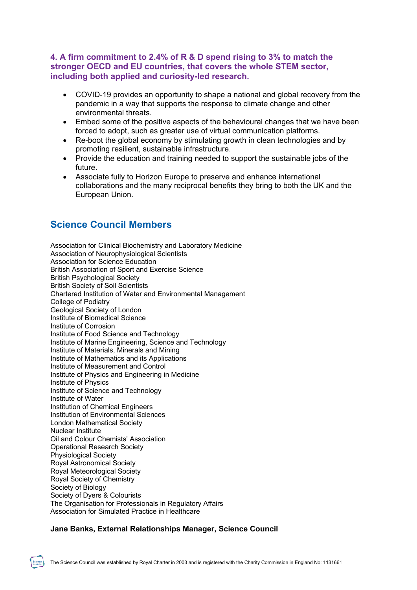# **4. A firm commitment to 2.4% of R & D spend rising to 3% to match the stronger OECD and EU countries, that covers the whole STEM sector, including both applied and curiosity-led research.**

- COVID-19 provides an opportunity to shape a national and global recovery from the pandemic in a way that supports the response to climate change and other environmental threats.
- Embed some of the positive aspects of the behavioural changes that we have been forced to adopt, such as greater use of virtual communication platforms.
- Re-boot the global economy by stimulating growth in clean technologies and by promoting resilient, sustainable infrastructure.
- Provide the education and training needed to support the sustainable jobs of the future.
- Associate fully to Horizon Europe to preserve and enhance international collaborations and the many reciprocal benefits they bring to both the UK and the European Union.

# **Science Council Members**

Association for Clinical Biochemistry and Laboratory Medicine Association of Neurophysiological Scientists Association for Science Education British Association of Sport and Exercise Science British Psychological Society British Society of Soil Scientists Chartered Institution of Water and Environmental Management College of Podiatry Geological Society of London Institute of Biomedical Science Institute of Corrosion Institute of Food Science and Technology Institute of Marine Engineering, Science and Technology Institute of Materials, Minerals and Mining Institute of Mathematics and its Applications Institute of Measurement and Control Institute of Physics and Engineering in Medicine Institute of Physics Institute of Science and Technology Institute of Water Institution of Chemical Engineers Institution of Environmental Sciences London Mathematical Society Nuclear Institute Oil and Colour Chemists' Association Operational Research Society Physiological Society Royal Astronomical Society Royal Meteorological Society Royal Society of Chemistry Society of Biology Society of Dyers & Colourists The Organisation for Professionals in Regulatory Affairs Association for Simulated Practice in Healthcare

# **Jane Banks, External Relationships Manager, Science Council**